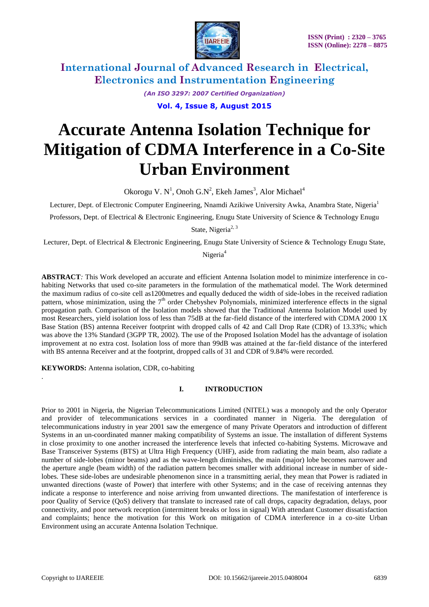

*(An ISO 3297: 2007 Certified Organization)*

**Vol. 4, Issue 8, August 2015**

# **Accurate Antenna Isolation Technique for Mitigation of CDMA Interference in a Co-Site Urban Environment**

Okorogu V. N<sup>1</sup>, Onoh G.N<sup>2</sup>, Ekeh James<sup>3</sup>, Alor Michael<sup>4</sup>

Lecturer, Dept. of Electronic Computer Engineering, Nnamdi Azikiwe University Awka, Anambra State, Nigeria<sup>1</sup> Professors, Dept. of Electrical & Electronic Engineering, Enugu State University of Science & Technology Enugu

State, Nigeria<sup>2, 3</sup>

Lecturer, Dept. of Electrical & Electronic Engineering, Enugu State University of Science & Technology Enugu State, Nigeria<sup>4</sup>

**ABSTRACT***:* This Work developed an accurate and efficient Antenna Isolation model to minimize interference in cohabiting Networks that used co-site parameters in the formulation of the mathematical model. The Work determined the maximum radius of co-site cell as1200metres and equally deduced the width of side-lobes in the received radiation pattern, whose minimization, using the  $7<sup>th</sup>$  order Chebyshev Polynomials, minimized interference effects in the signal propagation path. Comparison of the Isolation models showed that the Traditional Antenna Isolation Model used by most Researchers, yield isolation loss of less than 75dB at the far-field distance of the interfered with CDMA 2000 1X Base Station (BS) antenna Receiver footprint with dropped calls of 42 and Call Drop Rate (CDR) of 13.33%; which was above the 13% Standard (3GPP TR, 2002). The use of the Proposed Isolation Model has the advantage of isolation improvement at no extra cost. Isolation loss of more than 99dB was attained at the far-field distance of the interfered with BS antenna Receiver and at the footprint, dropped calls of 31 and CDR of 9.84% were recorded.

**KEYWORDS:** Antenna isolation, CDR, co-habiting

#### **I. INTRODUCTION**

Prior to 2001 in Nigeria, the Nigerian Telecommunications Limited (NITEL) was a monopoly and the only Operator and provider of telecommunications services in a coordinated manner in Nigeria. The deregulation of telecommunications industry in year 2001 saw the emergence of many Private Operators and introduction of different Systems in an un-coordinated manner making compatibility of Systems an issue. The installation of different Systems in close proximity to one another increased the interference levels that infected co-habiting Systems. Microwave and Base Transceiver Systems (BTS) at Ultra High Frequency (UHF), aside from radiating the main beam, also radiate a number of side-lobes (minor beams) and as the wave-length diminishes, the main (major) lobe becomes narrower and the aperture angle (beam width) of the radiation pattern becomes smaller with additional increase in number of sidelobes. These side-lobes are undesirable phenomenon since in a transmitting aerial, they mean that Power is radiated in unwanted directions (waste of Power) that interfere with other Systems; and in the case of receiving antennas they indicate a response to interference and noise arriving from unwanted directions. The manifestation of interference is poor Quality of Service (QoS) delivery that translate to increased rate of call drops, capacity degradation, delays, poor connectivity, and poor network reception (intermittent breaks or loss in signal) With attendant Customer dissatisfaction and complaints; hence the motivation for this Work on mitigation of CDMA interference in a co-site Urban Environment using an accurate Antenna Isolation Technique.

.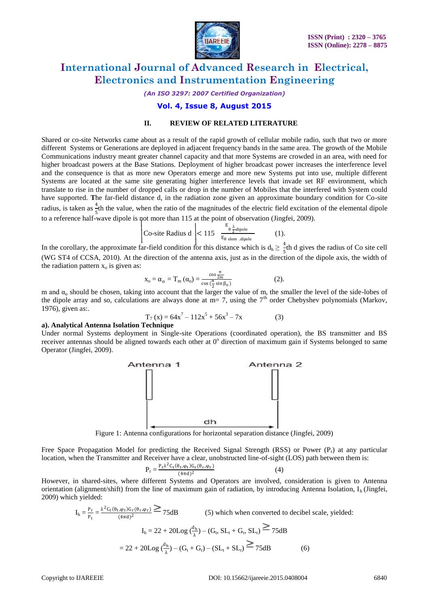

*(An ISO 3297: 2007 Certified Organization)*

#### **Vol. 4, Issue 8, August 2015**

#### **II. REVIEW OF RELATED LITERATURE**

Shared or co-site Networks came about as a result of the rapid growth of cellular mobile radio, such that two or more different Systems or Generations are deployed in adjacent frequency bands in the same area. The growth of the Mobile Communications industry meant greater channel capacity and that more Systems are crowded in an area, with need for higher broadcast powers at the Base Stations. Deployment of higher broadcast power increases the interference level and the consequence is that as more new Operators emerge and more new Systems put into use, multiple different Systems are located at the same site generating higher interference levels that invade set RF environment, which translate to rise in the number of dropped calls or drop in the number of Mobiles that the interfered with System could have supported. **T**he far-field distance d, in the radiation zone given an approximate boundary condition for Co-site radius, is taken as  $\frac{4}{5}$ th the value, when the ratio of the magnitudes of the electric field excitation of the elemental dipole to a reference half-wave dipole is not more than  $115$  at the point of observation (Jingfei, 2009).

$$
\left|\text{Co-site Radius d}\right| < 115 \quad \frac{\text{E}_{\theta \frac{\lambda}{2} \text{dipole}}}{\text{E}_{\theta \text{ elem. dipole}}} \tag{1}.
$$

In the corollary, the approximate far-field condition for this distance which is  $d_h \ge \frac{4}{5}$ th d gives the radius of Co site cell (WG ST4 of CCSA, 2010). At the direction of the antenna axis, just as in the direction of the dipole axis, the width of the radiation pattern  $x_0$  is given as:

$$
x_o = \alpha_o = T_m \left( \alpha_o \right) = \frac{\cos \frac{\pi}{2m}}{\cos \left( \frac{\pi}{2} \sin \beta_o \right)} \tag{2}.
$$

m and  $\alpha_0$  should be chosen, taking into account that the larger the value of m, the smaller the level of the side-lobes of the dipole array and so, calculations are always done at  $m=7$ , using the  $7<sup>th</sup>$  order Chebyshev polynomials (Markov, 1976), given as:.

$$
T_7(x) = 64x^7 - 112x^5 + 56x^3 - 7x
$$
 (3)

#### **a). Analytical Antenna Isolation Technique**

Under normal Systems deployment in Single-site Operations (coordinated operation), the BS transmitter and BS receiver antennas should be aligned towards each other at  $0^{\circ}$  direction of maximum gain if Systems belonged to same Operator (Jingfei, 2009).



Figure 1: Antenna configurations for horizontal separation distance (Jingfei, 2009)

Free Space Propagation Model for predicting the Received Signal Strength (RSS) or Power  $(P_r)$  at any particular location, when the Transmitter and Receiver have a clear, unobstructed line-of-sight (LOS) path between them is:

$$
P_r = \frac{P_t \lambda^2 C_t (\theta_t, \varphi_t) G_r (\theta_r, \varphi_r)}{(4\pi d)^2}
$$
(4)

However, in shared-sites, where different Systems and Operators are involved, consideration is given to Antenna orientation (alignment/shift) from the line of maximum gain of radiation, by introducing Antenna Isolation,  $I_h$  (Jingfei, 2009) which yielded:

$$
I_{h} = \frac{P_{r}}{P_{t}} = \frac{\lambda^{2} C_{t}(\theta_{t}, \varphi_{t}) G_{r}(\theta_{r}, \varphi_{r})}{(4\pi d)^{2}} \ge 75 dB
$$
 (5) which when converted to decibel scale, yielded:  
\n
$$
I_{h} = 22 + 20 Log(\frac{d_{h}}{\lambda}) - (G_{t}, SL_{t} + G_{r}, SL_{r}) \ge 75 dB
$$
  
\n
$$
= 22 + 20 Log(\frac{d_{h}}{\lambda}) - (G_{t} + G_{r}) - (SL_{t} + SL_{r}) \ge 75 dB
$$
 (6)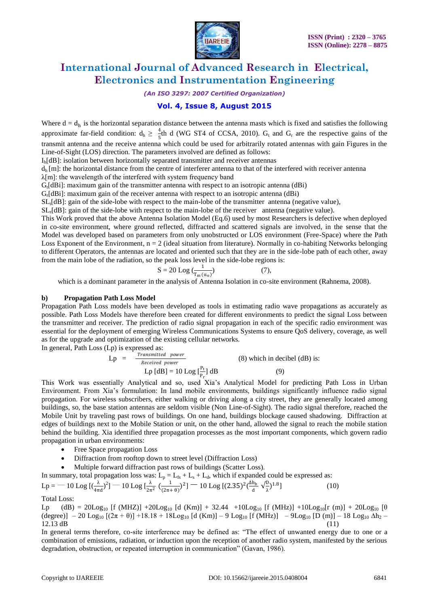

*(An ISO 3297: 2007 Certified Organization)*

#### **Vol. 4, Issue 8, August 2015**

Where  $d = d_h$  is the horizontal separation distance between the antenna masts which is fixed and satisfies the following approximate far-field condition:  $d_h \ge \frac{4}{5}$ th d (WG ST4 of CCSA, 2010).  $G_t$  and  $G_r$  are the respective gains of the transmit antenna and the receive antenna which could be used for arbitrarily rotated antennas with gain Figures in the Line-of-Sight (LOS) direction. The parameters involved are defined as follows:

Ih[dB]: isolation between horizontally separated transmitter and receiver antennas

 $d_h$  [m]: the horizontal distance from the centre of interferer antenna to that of the interfered with receiver antenna

λ[m]: the wavelength of the interfered with system frequency band

 $G_t[dBi]$ : maximum gain of the transmitter antenna with respect to an isotropic antenna  $(dBi)$ 

 $G_r[dBi]$ : maximum gain of the receiver antenna with respect to an isotropic antenna  $(dBi)$ 

 $SL<sub>t</sub>[dB]$ : gain of the side-lobe with respect to the main-lobe of the transmitter antenna (negative value),

 $SL<sub>r</sub>[dB]$ : gain of the side-lobe with respect to the main-lobe of the receiver antenna (negative value).

This Work proved that the above Antenna Isolation Model (Eq.6) used by most Researchers is defective when deployed in co-site environment, where ground reflected, diffracted and scattered signals are involved, in the sense that the Model was developed based on parameters from only unobstructed or LOS environment (Free-Space) where the Path Loss Exponent of the Environment,  $n = 2$  (ideal situation from literature). Normally in co-habiting Networks belonging to different Operators, the antennas are located and oriented such that they are in the side-lobe path of each other, away from the main lobe of the radiation, so the peak loss level in the side-lobe regions is:

$$
S = 20 \text{ Log } \left( \frac{1}{T_m(\alpha_0)} \right) \tag{7},
$$

which is a dominant parameter in the analysis of Antenna Isolation in co-site environment (Rahnema, 2008).

#### **b) Propagation Path Loss Model**

Propagation Path Loss models have been developed as tools in estimating radio wave propagations as accurately as possible. Path Loss Models have therefore been created for different environments to predict the signal Loss between the transmitter and receiver. The prediction of radio signal propagation in each of the specific radio environment was essential for the deployment of emerging Wireless Communications Systems to ensure QoS delivery, coverage, as well as for the upgrade and optimization of the existing cellular networks.

In general, Path Loss (Lp) is expressed as:

$$
Lp = \frac{Transmitted\ power}{Received\ power}
$$
 (8) which in decibel (dB) is:  
 
$$
Lp \text{ [dB]} = 10 \text{ Log }[\frac{P_t}{P_r}] \text{ dB}
$$
 (9)

This Work was essentially Analytical and so, used Xia's Analytical Model for predicting Path Loss in Urban Environment. From Xia's formulation: In land mobile environments, buildings significantly influence radio signal propagation. For wireless subscribers, either walking or driving along a city street, they are generally located among buildings, so, the base station antennas are seldom visible (Non Line-of-Sight). The radio signal therefore, reached the Mobile Unit by traveling past rows of buildings. On one hand, buildings blockage caused shadowing. Diffraction at edges of buildings next to the Mobile Station or unit, on the other hand, allowed the signal to reach the mobile station behind the building. Xia identified three propagation processes as the most important components, which govern radio propagation in urban environments:

- Free Space propagation Loss
- Diffraction from rooftop down to street level (Diffraction Loss)
- Multiple forward diffraction past rows of buildings (Scatter Loss).

In summary, total propagation loss was:  $L_p = L_{fs} + L_s + L_d$ , which if expanded could be expressed as:

$$
Lp = -10 \text{ Log }[(\frac{\lambda}{4\pi d})^2] - 10 \text{ Log }[\frac{\lambda}{2\pi^2} (\frac{1}{(2\pi + \theta)})^2] - 10 \text{ Log }[(2.35)^2(\frac{\Delta h_b}{d} \sqrt{\frac{b}{\lambda}})^{1.8}]
$$
(10)

#### Total Loss:

Lp (dB) = 20Log<sub>10</sub> [f (MHZ)] +20Log<sub>10</sub> [d (Km)] + 32.44 +10Log<sub>10</sub> [f (MHz)] +10Log<sub>10</sub>[r (m)] + 20Log<sub>10</sub> [θ  $(\text{degree})$ ] – 20 Log<sub>10</sub>  $[(2\pi + \theta)]$  +18.18 + 18Log<sub>10</sub> [d (Km)] – 9 Log<sub>10</sub> [f (MHz)] – 9 Log<sub>10</sub> [D (m)] – 18 Log<sub>10</sub>  $\Delta h_2$  –  $12.13 \text{ dB}$  (11)

In general terms therefore, co-site interference may be defined as: "The effect of unwanted energy due to one or a combination of emissions, radiation, or induction upon the reception of another radio system, manifested by the serious degradation, obstruction, or repeated interruption in communication" (Gavan, 1986).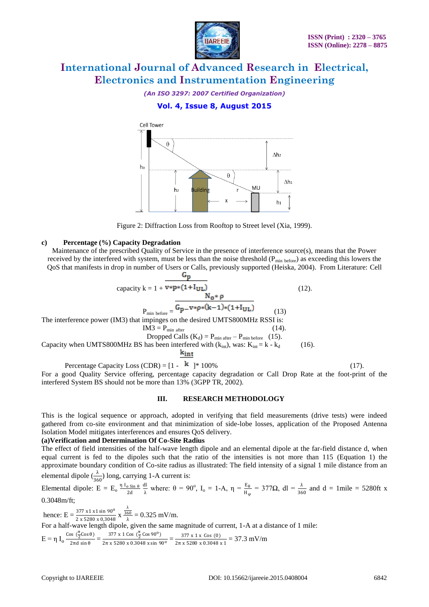

*(An ISO 3297: 2007 Certified Organization)*

#### **Vol. 4, Issue 8, August 2015**



Figure 2: Diffraction Loss from Rooftop to Street level (Xia, 1999).

#### **c) Percentage (%) Capacity Degradation**

Maintenance of the prescribed Quality of Service in the presence of interference source(s), means that the Power received by the interfered with system, must be less than the noise threshold ( $P_{min\text{ before}}$ ) as exceeding this lowers the QoS that manifests in drop in number of Users or Calls, previously supported (Heiska, 2004). From Literature: Cell  $G_n$ 

capacity k = 1 + 
$$
\overline{v * p * (1 + I_{UL})}
$$
 (12).  
\n
$$
P_{min \text{ before}} = \frac{G_{p} - v * p * (k-1) * (1+I_{UL})}{G_{min \text{ before}}}
$$
 (13)  
\nThe interference power (IM3) that impinges on the desired UMTS800MHz RSSI is:  
\n
$$
IM3 = P_{min \text{ after}} \qquad (14).
$$
\nDropped calls (K<sub>d</sub>) = P<sub>min \text{ after}} - P\_{min \text{ before}} \qquad (15).\n
$$
Capacity when UMTS800MHz BS has been interpreted with (kint), was: Kint = k - kd \qquad (16).
$$
\n
$$
\frac{k_{int}}{k_{int}}
$$
\n
$$
Percentage Capacity Loss (CDR) = [1 - k] * 100% \qquad (17).
$$</sub>

For a good Quality Service offering, percentage capacity degradation or Call Drop Rate at the foot-print of the interfered System BS should not be more than 13% (3GPP TR, 2002).

#### **III. RESEARCH METHODOLOGY**

This is the logical sequence or approach, adopted in verifying that field measurements (drive tests) were indeed gathered from co-site environment and that minimization of side-lobe losses, application of the Proposed Antenna Isolation Model mitigates interferences and ensures QoS delivery.

#### **(a)Verification and Determination Of Co-Site Radius**

The effect of field intensities of the half-wave length dipole and an elemental dipole at the far-field distance d, when equal current is fed to the dipoles such that the ratio of the intensities is not more than 115 (Equation 1) the approximate boundary condition of Co-site radius as illustrated: The field intensity of a signal 1 mile distance from an

elemental dipole 
$$
\left(\frac{\lambda}{360}\right)
$$
 long, carrying 1-A current is:

Elemental dipole:  $E = E_0 \frac{\eta I_0 \sin \theta}{2d}$ 2d dl <sup>dl</sup><sub>λ</sub> where: θ = 90<sup>o</sup>, I<sub>o</sub> = 1-A, η =  $\frac{E_{\theta}}{H_{\phi}}$  = 377Ω, dl =  $\frac{\lambda}{360}$  and d = 1mile = 5280ft x 0.3048m/ft;

hence:  $E = \frac{377 \times 1 \times 1 \sin 90^{\circ}}{2 \times 5280 \times 0,3048}$  x λ 360  $\frac{60}{\lambda}$  = 0.325 mV/m. For a half-wave length dipole, given the same magnitude of current, 1-A at a distance of 1 mile:  $E = \eta I_0 \frac{\cos(\frac{\pi}{2} \cos \theta)}{2\pi d \sin \theta}$  $\frac{\cos(\frac{\pi}{2} \cos \theta)}{2\pi d \sin \theta} = \frac{377 \times 1 \cos(\frac{\pi}{2} \cos 90^\circ)}{2\pi \times 5280 \times 0.3048 \times \sin 9}$  $\frac{377 \times 1 \cos \left(\frac{\pi}{2} \cos 90^\circ\right)}{2\pi \times 5280 \times 0.3048 \times \sin 90^\circ} = \frac{377 \times 1 \times \cos (0)}{2\pi \times 5280 \times 0.3048 \times 10^{-1} \times 10^{-1} \times 10^{-1} \times 10^{-1} \times 10^{-1} \times 10^{-1} \times 10^{-1} \times 10^{-1} \times 10^{-1} \times 10^{-1} \times 10^{-1} \times 10^{-1} \times 10^{-1} \times 10^{-1} \times 10^{-1} \$  $\frac{377 \times 1 \times \cos (6)}{2\pi \times 5280 \times 0.3048 \times 1} = 37.3 \text{ mV/m}$ 

The interfer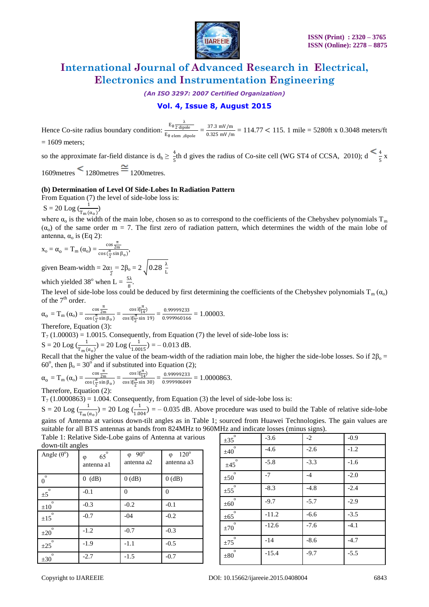

*(An ISO 3297: 2007 Certified Organization)*

#### **Vol. 4, Issue 8, August 2015**

Hence Co-site radius boundary condition:  $\frac{E_{\theta \overline{2} \text{ dipole}}}{E_{\theta \overline{2} \text{ dipole}}}$  $\frac{E_{\theta} \frac{E_{\theta}}{2 \text{ dipole}}}{E_{\theta} \text{ elem}}$   $\frac{37.3 \text{ mV/m}}{0.325 \text{ mV/m}}$  $\frac{37.5 \text{ mV/m}}{0.325 \text{ mV/m}} = 114.77 < 115.1 \text{ mile} = 5280 \text{ft} \times 0.3048 \text{ meters/ft}$ 

 $= 1609$  meters;

so the approximate far-field distance is  $d_h \ge \frac{4}{5}$ th d gives the radius of Co-site cell (WG ST4 of CCSA, 2010); d  $\le \frac{4}{5}$  x  $1609$ metres  $\leq 1280$ metres  $\cong 1200$ metres.

#### **(b) Determination of Level Of Side-Lobes In Radiation Pattern**

From Equation (7) the level of side-lobe loss is:

 $S = 20$  Log  $\left(\frac{1}{T_m(\alpha_0)}\right)$ 

where  $\alpha_0$  is the width of the main lobe, chosen so as to correspond to the coefficients of the Chebyshev polynomials  $T_m$  $(\alpha_0)$  of the same order m = 7. The first zero of radiation pattern, which determines the width of the main lobe of antenna,  $α<sub>o</sub>$  is (Eq 2):

$$
x_o=\alpha_o=T_m\left(\alpha_o\right)=\frac{\cos\frac{\pi}{2m}}{\cos\left(\frac{\pi}{2}\sin\beta_o\right)},
$$

given Beam-width =  $2\alpha_1 = 2\beta_0 = 2\sqrt{0.28\frac{\lambda}{L}}$ 

which yielded 38<sup>°</sup> when L =  $\frac{5\lambda}{8}$ .

The level of side-lobe loss could be deduced by first determining the coefficients of the Chebyshev polynomials  $T_m(\alpha_0)$ of the  $7<sup>th</sup>$  order.

$$
\alpha_0 = T_m(\alpha_0) = \frac{\cos \frac{\pi}{2m}}{\cos(\frac{\pi}{2}\sin \beta_0)} = \frac{\cos \frac{\pi}{2} \pi}{\cos \frac{\pi}{2} \sin 19} = \frac{0.99999233}{0.999960166} = 1.00003.
$$

Therefore, Equation (3):

 $T_7$  (1.00003) = 1.0015. Consequently, from Equation (7) the level of side-lobe loss is:

$$
S = 20 \text{ Log }(\frac{1}{T_{m}(\alpha_{0})}) = 20 \text{ Log }(\frac{1}{1.0015}) = -0.013 \text{ dB}.
$$

Recall that the higher the value of the beam-width of the radiation main lobe, the higher the side-lobe losses. So if  $2\beta_0 =$ 60<sup>o</sup>, then  $\beta_0 = 30^\circ$  and if substituted into Equation (2);

$$
\alpha_o = T_m \left( \alpha_o \right) = \frac{\cos \frac{\pi}{2m}}{\cos \left( \frac{\pi}{2} \sin \beta_o \right)} = \frac{\cos \frac{\pi}{6\sqrt[4]{14}}}{\cos \frac{\pi}{6\sqrt[4]{2}} \sin 30)} = \frac{0.99999233}{0.999906049} = 1.0000863.
$$

Therefore, Equation (2):

 $T_7$  (1.0000863) = 1.004. Consequently, from Equation (3) the level of side-lobe loss is:

 $S = 20$  Log  $(\frac{1}{T_m(\alpha_0)}) = 20$  Log  $(\frac{1}{1.004}) = -0.035$  dB. Above procedure was used to build the Table of relative side-lobe gains of Antenna at various down-tilt angles as in Table 1; sourced from Huawei Technologies. The gain values are suitable for all BTS antennas at bands from 824MHz to 960MHz and indicate losses (minus signs).

Table 1: Relative Side-Lobe gains of Antenna at various down-tilt angles

| Angle $(\theta^{\circ})$   | $65^\circ$<br>$\varphi$<br>antenna a1 | $\varphi$ 90°<br>antenna a2 | $120^{\circ}$<br>$\varphi$<br>antenna a3 |
|----------------------------|---------------------------------------|-----------------------------|------------------------------------------|
| $\circ$<br>$\overline{0}$  | $0$ (dB)                              | $0$ (dB)                    | $0$ (dB)                                 |
| $\pm 5^\circ$              | $-0.1$                                | $\theta$                    | 0                                        |
| $\circ$<br>$\pm 10$        | $-0.3$                                | $-0.2$                      | $-0.1$                                   |
| $\overline{O}$<br>$\pm 15$ | $-0.7$                                | $-04$                       | $-0.2$                                   |
| $\overline{O}$<br>$\pm 20$ | $-1.2$                                | $-0.7$                      | $-0.3$                                   |
| $\overline{O}$<br>$\pm 25$ | $-1.9$                                | $-1.1$                      | $-0.5$                                   |
| $\mathbf{o}$<br>$\pm 30$   | $-2.7$                                | $-1.5$                      | $-0.7$                                   |

| $\mathbf{o}$<br>$\pm 35$            | $-3.6$  | $-2$   | $-0.9$ |
|-------------------------------------|---------|--------|--------|
| $\overline{\mathbf{O}}$<br>±40      | $-4.6$  | $-2.6$ | $-1.2$ |
| $\overline{0}$<br>±45               | $-5.8$  | $-3.3$ | $-1.6$ |
| $\overline{\mathbf{O}}$<br>±50      | $-7$    | $-4$   | $-2.0$ |
| $\pm 55^\circ$                      | $-8.3$  | $-4.8$ | $-2.4$ |
| $\overline{\mathbf{0}}$<br>$\pm 60$ | $-9.7$  | $-5.7$ | $-2.9$ |
| $\overline{\mathbf{0}}$<br>$\pm 65$ | $-11.2$ | $-6.6$ | $-3.5$ |
| $\overline{\mathbf{O}}$<br>±70      | $-12.6$ | $-7.6$ | $-4.1$ |
| $\overline{\mathbf{O}}$<br>±75      | $-14$   | $-8.6$ | $-4.7$ |
| $\overline{\mathbf{O}}$<br>±80      | $-15.4$ | $-9.7$ | $-5.5$ |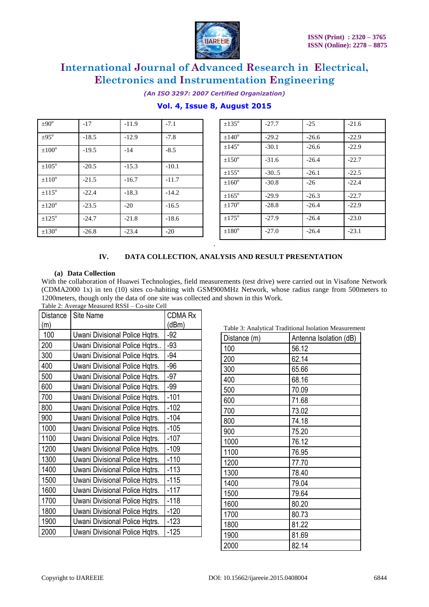

*(An ISO 3297: 2007 Certified Organization)*

### **Vol. 4, Issue 8, August 2015**

| $\pm 90^\circ$    | $-17$   | $-11.9$ | $-7.1$  |  |
|-------------------|---------|---------|---------|--|
| $+95^{\circ}$     | $-18.5$ | $-12.9$ | $-7.8$  |  |
| $\pm 100^\circ$   | $-19.5$ | $-14$   | $-8.5$  |  |
| $\pm 105^\circ$   | $-20.5$ | $-15.3$ | $-10.1$ |  |
| $\pm 110^\circ$   | $-21.5$ | $-16.7$ | $-11.7$ |  |
| $\pm 115^{\rm o}$ | $-22.4$ | $-18.3$ | $-14.2$ |  |
| $\pm 120^\circ$   | $-23.5$ | $-20$   | $-16.5$ |  |
| $+125^{\circ}$    | $-24.7$ | $-21.8$ | $-18.6$ |  |
| $\pm 130^{\rm o}$ | $-26.8$ | $-23.4$ | $-20$   |  |

| $\pm 135^\circ$ | $-27.7$ | $-25$   | $-21.6$ |
|-----------------|---------|---------|---------|
| $+140^{\circ}$  | $-29.2$ | $-26.6$ | $-22.9$ |
| $\pm 145^\circ$ | $-30.1$ | $-26.6$ | $-22.9$ |
| $\pm 150^\circ$ | $-31.6$ | $-26.4$ | $-22.7$ |
| $+155^{\circ}$  | $-30.5$ | $-26.1$ | $-22.5$ |
| $+160^{\circ}$  | $-30.8$ | $-26$   | $-22.4$ |
| $\pm 165^\circ$ | $-29.9$ | $-26.3$ | $-22.7$ |
| $+170^{\circ}$  | $-28.8$ | $-26.4$ | $-22.9$ |
| $+175^{\circ}$  | $-27.9$ | $-26.4$ | $-23.0$ |
| $\pm 180^\circ$ | $-27.0$ | $-26.4$ | $-23.1$ |

#### **IV. DATA COLLECTION, ANALYSIS AND RESULT PRESENTATION**

#### **(a) Data Collection**

With the collaboration of Huawei Technologies, field measurements (test drive) were carried out in Visafone Network (CDMA2000 1x) in ten (10) sites co-habiting with GSM900MHz Network, whose radius range from 500meters to 1200meters, though only the data of one site was collected and shown in this Work.

.

| Table 2: Average Measured RSSI - Co-site Cell |  |
|-----------------------------------------------|--|
|                                               |  |

| Distance | Site Name                      | <b>CDMA Rx</b> |
|----------|--------------------------------|----------------|
| (m)      |                                | (dBm)          |
| 100      | Uwani Divisional Police Hqtrs. | $-92$          |
| 200      | Uwani Divisional Police Hqtrs  | $-93$          |
| 300      | Uwani Divisional Police Hqtrs. | $-94$          |
| 400      | Uwani Divisional Police Hqtrs. | $-96$          |
| 500      | Uwani Divisional Police Hqtrs. | $-97$          |
| 600      | Uwani Divisional Police Hqtrs. | $-99$          |
| 700      | Uwani Divisional Police Hqtrs. | $-101$         |
| 800      | Uwani Divisional Police Hqtrs. | $-102$         |
| 900      | Uwani Divisional Police Hqtrs. | $-104$         |
| 1000     | Uwani Divisional Police Hqtrs. | $-105$         |
| 1100     | Uwani Divisional Police Hqtrs. | $-107$         |
| 1200     | Uwani Divisional Police Hqtrs. | $-109$         |
| 1300     | Uwani Divisional Police Hqtrs. | $-110$         |
| 1400     | Uwani Divisional Police Hqtrs. | $-113$         |
| 1500     | Uwani Divisional Police Hqtrs. | $-115$         |
| 1600     | Uwani Divisional Police Hqtrs. | $-117$         |
| 1700     | Uwani Divisional Police Hqtrs. | $-118$         |
| 1800     | Uwani Divisional Police Hqtrs. | $-120$         |
| 1900     | Uwani Divisional Police Hqtrs. | $-123$         |
| 2000     | Uwani Divisional Police Hqtrs. | $-125$         |

Table 3: Analytical Traditional Isolation Measurement

| Distance (m) | Antenna Isolation (dB) |
|--------------|------------------------|
| 100          | 56.12                  |
| 200          | 62.14                  |
| 300          | 65.66                  |
| 400          | 68.16                  |
| 500          | 70.09                  |
| 600          | 71.68                  |
| 700          | 73.02                  |
| 800          | 74.18                  |
| 900          | 75.20                  |
| 1000         | 76.12                  |
| 1100         | 76.95                  |
| 1200         | 77.70                  |
| 1300         | 78.40                  |
| 1400         | 79.04                  |
| 1500         | 79.64                  |
| 1600         | 80.20                  |
| 1700         | 80.73                  |
| 1800         | 81.22                  |
| 1900         | 81.69                  |
| 2000         | 82.14                  |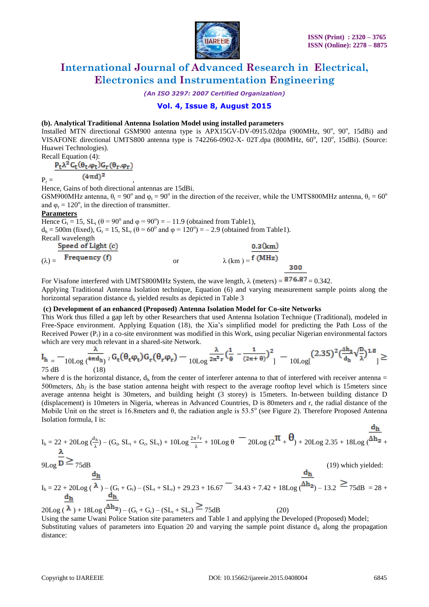

*(An ISO 3297: 2007 Certified Organization)*

#### **Vol. 4, Issue 8, August 2015**

#### **(b). Analytical Traditional Antenna Isolation Model using installed parameters**

Installed MTN directional GSM900 antenna type is APX15GV-DV-0915.02dpa (900MHz, 90°, 90°, 15dBi) and VISAFONE directional UMTS800 antenna type is 742266-0902-X- 02T.dpa (800MHz, 60°, 120°, 15dBi). (Source: Huawei Technologies).

Recall Equation (4):<br> $P_t \lambda^2 C_t (\theta_t, \varphi_t) G_r (\theta_r, \varphi_r)$  $P_{r} = \frac{(4\pi d)^2}{ }$ 

Hence, Gains of both directional antennas are 15dBi.

GSM900MHz antenna,  $\theta_t = 90^\circ$  and  $\varphi_t = 90^\circ$  in the direction of the receiver, while the UMTS800MHz antenna,  $\theta_r = 60^\circ$ and  $\varphi$ <sub>r</sub> = 120<sup>°</sup>, in the direction of transmitter.

#### **Parameters**

Hence  $G_t = 15$ ,  $SL_t$  ( $\theta = 90^\circ$  and  $\phi = 90^\circ$ ) = -11.9 (obtained from Table1),  $d_h = 500$ m (fixed),  $G_r = 15$ ,  $SL_r$  ( $\theta = 60^\circ$  and  $\phi = 120^\circ$ ) = - 2.9 (obtained from Table1). Recall wavelength Speed of Light (c)  $0.3(km)$  $(\lambda) = \frac{1 - \text{Frequency}(f)}{\text{Frequency}(f)}$  or  $\lambda (km) = \frac{f (MHz)}{f (MHz)}$ 300

For Visafone interfered with UMTS800MHz System, the wave length,  $\lambda$  (meters) =  $876.87 = 0.342$ .

Applying Traditional Antenna Isolation technique, Equation (6) and varying measurement sample points along the horizontal separation distance d<sub>h</sub> yielded results as depicted in Table 3

#### **(c) Development of an enhanced (Proposed) Antenna Isolation Model for Co-site Networks**

This Work thus filled a gap left by other Researchers that used Antenna Isolation Technique (Traditional), modeled in Free-Space environment. Applying Equation (18), the Xia's simplified model for predicting the Path Loss of the Received Power  $(P_r)$  in a co-site environment was modified in this Work, using peculiar Nigerian environmental factors which are very much relevant in a shared-site Network.

$$
\begin{aligned} &I_{h} = -\frac{\lambda}{10 \text{Log }(\frac{4\pi d_{h}}{18})^2} G_t(\theta_t \phi_t) G_r(\theta_r \phi_r) - \frac{\lambda}{10 \text{Log }2\pi^2 r} (\frac{1}{\theta} - \frac{1}{(2\pi + \theta)})^2 \end{aligned} \big] - \frac{(2.35)^2(\frac{\Delta h_z}{d_{h}} \sqrt{\frac{n}{\lambda}})^{1.8}}{10 \text{Log }(\frac{4\pi d_{h}}{18})^2} \geq
$$

where d is the horizontal distance,  $d_h$  from the center of interferer antenna to that of interfered with receiver antenna =  $500$ meters,  $\Delta h_2$  is the base station antenna height with respect to the average rooftop level which is 15meters since average antenna height is 30meters, and building height (3 storey) is 15meters. In-between building distance D (displacement) is 10meters in Nigeria, whereas in Advanced Countries, D is 80meters and r, the radial distance of the Mobile Unit on the street is 16.8 meters and  $\theta$ , the radiation angle is 53.5° (see Figure 2). Therefore Proposed Antenna Isolation formula, I is:

$$
I_h = 22 + 20\text{Log }(\frac{d_h}{\lambda}) - (G_t, SL_t + G_r, SL_r) + 10\text{Log } \frac{2\pi^2r}{\lambda} + 10\text{Log }\theta = 20\text{Log } (2^{\pi} + \theta) + 20\text{Log } 2.35 + 18\text{Log } (\overline{\Delta h_2} + \overline{\Delta h_3})
$$

$$
\overline{\mathsf{GL}_{\mathsf{O}^g}} \, \overline{\mathsf{D}} \geq \mathsf{D}_{75\mathrm{d}^{\mathrm{F}}}
$$

$$
9 \text{Log} - 73 \text{dB}
$$

dh  $d_h$  $I_h = 22 + 20 \text{Log} (\lambda) - (G_t + G_r) - (SL_t + SL_r) + 29.23 + 16.67 = 34.43 + 7.42 + 18 \text{Log} (\Delta h_2) - 13.2 \geq 75 \text{dB} = 28 + 12 \text{Log} (\lambda h_2) - 13.2 \geq 75 \text{dB}$  $d_h$ 

 $20\text{Log}(\overline{\lambda}) + 18\text{Log}(\overline{\Delta h_2}) - (G_t + G_r) - (SL_t + SL_r) \geq 75dB$  (20) Using the same Uwani Police Station site parameters and Table 1 and applying the Developed (Proposed) Model; Substituting values of parameters into Equation 20 and varying the sample point distance  $d<sub>h</sub>$  along the propagation distance:

 $(19)$  which yielded:

dh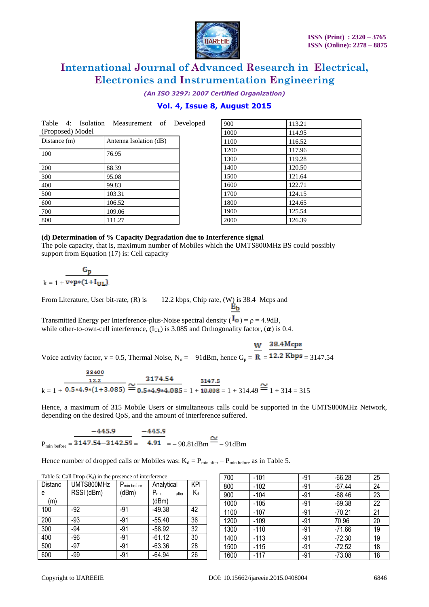

*(An ISO 3297: 2007 Certified Organization)*

#### **Vol. 4, Issue 8, August 2015**

|                  |  | Table 4: Isolation Measurement of Developed |  |
|------------------|--|---------------------------------------------|--|
| (Proposed) Model |  |                                             |  |

| Distance (m) | Antenna Isolation (dB) |
|--------------|------------------------|
| 100          | 76.95                  |
| 200          | 88.39                  |
| 300          | 95.08                  |
| 400          | 99.83                  |
| 500          | 103.31                 |
| 600          | 106.52                 |
| 700          | 109.06                 |
| 800          | 111.27                 |

| 900  | 113.21 |
|------|--------|
| 1000 | 114.95 |
| 1100 | 116.52 |
| 1200 | 117.96 |
| 1300 | 119.28 |
| 1400 | 120.50 |
| 1500 | 121.64 |
| 1600 | 122.71 |
| 1700 | 124.15 |
| 1800 | 124.65 |
| 1900 | 125.54 |
| 2000 | 126.39 |

#### **(d) Determination of % Capacity Degradation due to Interference signal**

The pole capacity, that is, maximum number of Mobiles which the UMTS800MHz BS could possibly support from Equation (17) is: Cell capacity

$$
k=1+\frac{G_p}{v*p*(1+I_{UL})}
$$

From Literature, User bit-rate, (R) is 12.2 kbps, Chip rate, (W) is 38.4 Mcps and

 $E_{\rm b}$ 

Transmitted Energy per Interference-plus-Noise spectral density ( $\overline{I}_0$ ) = ρ = 4.9dB, while other-to-own-cell interference,  $(I_{UL})$  is 3.085 and Orthogonality factor,  $(\alpha)$  is 0.4.

W 38.4Mcps

Voice activity factor,  $v = 0.5$ , Thermal Noise,  $N_0 = -91$ dBm, hence  $G_p = \overline{R} = 12.2$  Kbps = 3147.54

$$
\frac{\frac{38400}{12.2}}{k=1+\frac{0.5*4.9*(1+3.085)}{0.5*4.9*4.085} \approx \frac{3174.54}{0.5*4.9*4.085} = 1+\frac{3147.5}{10.008} = 1+314.49 \approx 1+314 = 315
$$

Hence, a maximum of 315 Mobile Users or simultaneous calls could be supported in the UMTS800MHz Network, depending on the desired QoS, and the amount of interference suffered.

 $P_{min\text{ before}} = \frac{-445.9}{3147.54 - 3142.59} = \frac{-445.9}{4.91} = -90.81 \text{dBm} \approx -91 \text{dBm}$ 

Hence number of dropped calls or Mobiles was:  $K_d = P_{min \space after} - P_{min \space before}$  as in Table 5.

| Distanc | UMTS800MHz | P <sub>min before</sub> | Analytical         | <b>KPI</b> |
|---------|------------|-------------------------|--------------------|------------|
| e       | RSSI (dBm) | (dBm)                   | $P_{min}$<br>after | $K_d$      |
| (m)     |            |                         | (dBm)              |            |
| 100     | -92        | $-91$                   | $-49.38$           | 42         |
| 200     | $-93$      | $-91$                   | $-55.40$           | 36         |
| 300     | -94        | $-91$                   | $-58.92$           | 32         |
| 400     | $-96$      | $-91$                   | $-61.12$           | 30         |
| 500     | $-97$      | $-91$                   | $-63.36$           | 28         |
| 600     | $-99$      | $-91$                   | $-64.94$           | 26         |

| 700  | $-101$ | $-91$ | $-66.28$ | 25 |
|------|--------|-------|----------|----|
| 800  | $-102$ | $-91$ | $-67.44$ | 24 |
| 900  | $-104$ | $-91$ | $-68.46$ | 23 |
| 1000 | $-105$ | $-91$ | $-69.38$ | 22 |
| 1100 | $-107$ | $-91$ | $-70.21$ | 21 |
| 1200 | $-109$ | $-91$ | 70.96    | 20 |
| 1300 | $-110$ | $-91$ | $-71.66$ | 19 |
| 1400 | $-113$ | $-91$ | $-72.30$ | 19 |
| 1500 | $-115$ | $-91$ | $-72.52$ | 18 |
| 1600 | $-117$ | $-91$ | $-73.08$ | 18 |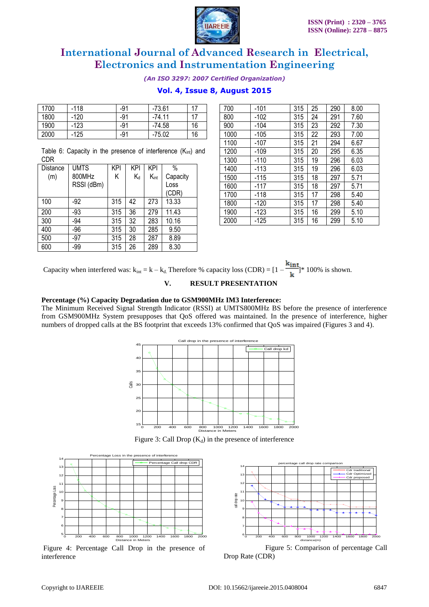

*(An ISO 3297: 2007 Certified Organization)*

#### **Vol. 4, Issue 8, August 2015**

| 1700 | $-118$ | $-91$ | $-73.61$ | 17 |
|------|--------|-------|----------|----|
| 1800 | $-120$ | -91   | $-74.11$ | 17 |
| 1900 | $-123$ | -91   | $-74.58$ | 16 |
| 2000 | -125   | -91   | $-75.02$ | 16 |

Table 6: Capacity in the presence of interference (K<sub>int</sub>) and CDR

| Distance | <b>UMTS</b> | KPI | <b>KPI</b> | KPI  | $\%$     |
|----------|-------------|-----|------------|------|----------|
| (m)      | 800MHz      | Κ   | Κd         | Kint | Capacity |
|          | RSSI (dBm)  |     |            |      | Loss     |
|          |             |     |            |      | (CDR)    |
| 100      | $-92$       | 315 | 42         | 273  | 13.33    |
| 200      | $-93$       | 315 | 36         | 279  | 11.43    |
| 300      | $-94$       | 315 | 32         | 283  | 10.16    |
| 400      | $-96$       | 315 | 30         | 285  | 9.50     |
| 500      | $-97$       | 315 | 28         | 287  | 8.89     |
| 600      | -99         | 315 | 26         | 289  | 8.30     |

| 700  | $-101$ | 315 | 25 | 290 | 8.00 |
|------|--------|-----|----|-----|------|
| 800  | -102   | 315 | 24 | 291 | 7.60 |
| 900  | -104   | 315 | 23 | 292 | 7.30 |
| 1000 | -105   | 315 | 22 | 293 | 7.00 |
| 1100 | $-107$ | 315 | 21 | 294 | 6.67 |
| 1200 | -109   | 315 | 20 | 295 | 6.35 |
| 1300 | $-110$ | 315 | 19 | 296 | 6.03 |
| 1400 | $-113$ | 315 | 19 | 296 | 6.03 |
| 1500 | -115   | 315 | 18 | 297 | 5.71 |
| 1600 | -117   | 315 | 18 | 297 | 5.71 |
| 1700 | $-118$ | 315 | 17 | 298 | 5.40 |
| 1800 | -120   | 315 | 17 | 298 | 5.40 |
| 1900 | $-123$ | 315 | 16 | 299 | 5.10 |
| 2000 | $-125$ | 315 | 16 | 299 | 5.10 |

Capacity when interfered was:  $k_{int} = k - k_d$ . Therefore % capacity loss (CDR) =  $[1 - \frac{k_{int}}{k}]^*$  100% is shown.

#### **V. RESULT PRESENTATION**

#### **Percentage (%) Capacity Degradation due to GSM900MHz IM3 Interference:**

The Minimum Received Signal Strength Indicator (RSSI) at UMTS800MHz BS before the presence of interference from GSM900MHz System presupposes that QoS offered was maintained. In the presence of interference, higher numbers of dropped calls at the BS footprint that exceeds 13% confirmed that QoS was impaired (Figures 3 and 4).



Figure 3: Call Drop  $(K_d)$  in the presence of interference



Figure 4: Percentage Call Drop in the presence of interference



Figure 5: Comparison of percentage Call Drop Rate (CDR)